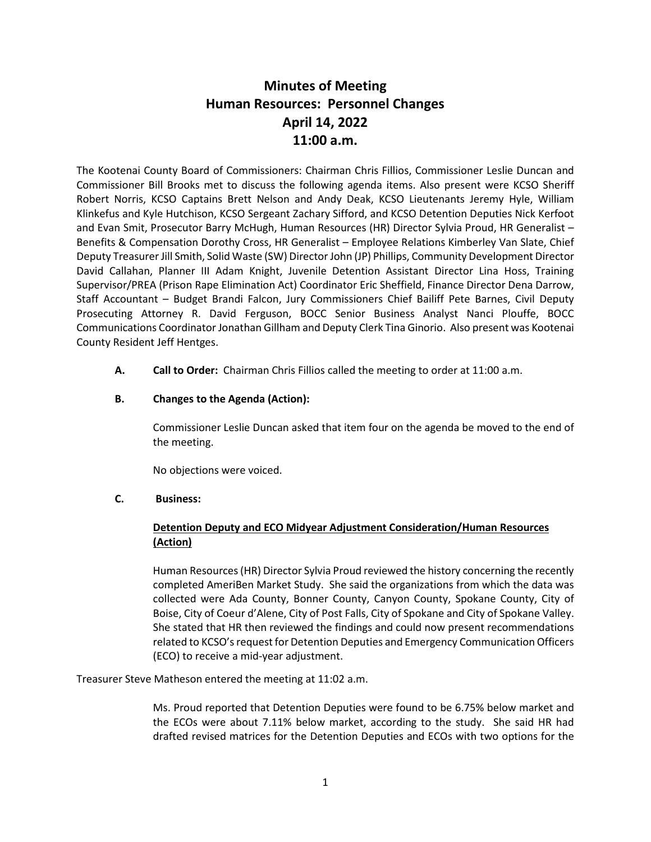# **Minutes of Meeting Human Resources: Personnel Changes April 14, 2022 11:00 a.m.**

The Kootenai County Board of Commissioners: Chairman Chris Fillios, Commissioner Leslie Duncan and Commissioner Bill Brooks met to discuss the following agenda items. Also present were KCSO Sheriff Robert Norris, KCSO Captains Brett Nelson and Andy Deak, KCSO Lieutenants Jeremy Hyle, William Klinkefus and Kyle Hutchison, KCSO Sergeant Zachary Sifford, and KCSO Detention Deputies Nick Kerfoot and Evan Smit, Prosecutor Barry McHugh, Human Resources (HR) Director Sylvia Proud, HR Generalist – Benefits & Compensation Dorothy Cross, HR Generalist – Employee Relations Kimberley Van Slate, Chief Deputy Treasurer Jill Smith, Solid Waste (SW) Director John (JP) Phillips, Community Development Director David Callahan, Planner III Adam Knight, Juvenile Detention Assistant Director Lina Hoss, Training Supervisor/PREA (Prison Rape Elimination Act) Coordinator Eric Sheffield, Finance Director Dena Darrow, Staff Accountant – Budget Brandi Falcon, Jury Commissioners Chief Bailiff Pete Barnes, Civil Deputy Prosecuting Attorney R. David Ferguson, BOCC Senior Business Analyst Nanci Plouffe, BOCC Communications Coordinator Jonathan Gillham and Deputy Clerk Tina Ginorio. Also present was Kootenai County Resident Jeff Hentges.

**A. Call to Order:** Chairman Chris Fillios called the meeting to order at 11:00 a.m.

## **B. Changes to the Agenda (Action):**

Commissioner Leslie Duncan asked that item four on the agenda be moved to the end of the meeting.

No objections were voiced.

## **C. Business:**

## **Detention Deputy and ECO Midyear Adjustment Consideration/Human Resources (Action)**

Human Resources (HR) Director Sylvia Proud reviewed the history concerning the recently completed AmeriBen Market Study. She said the organizations from which the data was collected were Ada County, Bonner County, Canyon County, Spokane County, City of Boise, City of Coeur d'Alene, City of Post Falls, City of Spokane and City of Spokane Valley. She stated that HR then reviewed the findings and could now present recommendations related to KCSO's request for Detention Deputies and Emergency Communication Officers (ECO) to receive a mid-year adjustment.

Treasurer Steve Matheson entered the meeting at 11:02 a.m.

Ms. Proud reported that Detention Deputies were found to be 6.75% below market and the ECOs were about 7.11% below market, according to the study. She said HR had drafted revised matrices for the Detention Deputies and ECOs with two options for the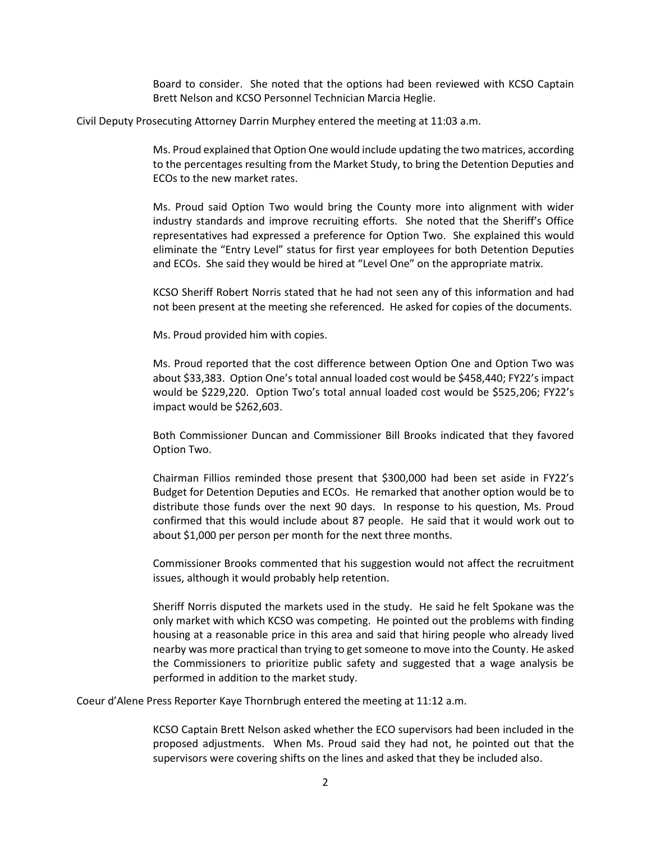Board to consider. She noted that the options had been reviewed with KCSO Captain Brett Nelson and KCSO Personnel Technician Marcia Heglie.

Civil Deputy Prosecuting Attorney Darrin Murphey entered the meeting at 11:03 a.m.

Ms. Proud explained that Option One would include updating the two matrices, according to the percentages resulting from the Market Study, to bring the Detention Deputies and ECOs to the new market rates.

Ms. Proud said Option Two would bring the County more into alignment with wider industry standards and improve recruiting efforts. She noted that the Sheriff's Office representatives had expressed a preference for Option Two. She explained this would eliminate the "Entry Level" status for first year employees for both Detention Deputies and ECOs. She said they would be hired at "Level One" on the appropriate matrix.

KCSO Sheriff Robert Norris stated that he had not seen any of this information and had not been present at the meeting she referenced. He asked for copies of the documents.

Ms. Proud provided him with copies.

Ms. Proud reported that the cost difference between Option One and Option Two was about \$33,383. Option One's total annual loaded cost would be \$458,440; FY22's impact would be \$229,220. Option Two's total annual loaded cost would be \$525,206; FY22's impact would be \$262,603.

Both Commissioner Duncan and Commissioner Bill Brooks indicated that they favored Option Two.

Chairman Fillios reminded those present that \$300,000 had been set aside in FY22's Budget for Detention Deputies and ECOs. He remarked that another option would be to distribute those funds over the next 90 days. In response to his question, Ms. Proud confirmed that this would include about 87 people. He said that it would work out to about \$1,000 per person per month for the next three months.

Commissioner Brooks commented that his suggestion would not affect the recruitment issues, although it would probably help retention.

Sheriff Norris disputed the markets used in the study. He said he felt Spokane was the only market with which KCSO was competing. He pointed out the problems with finding housing at a reasonable price in this area and said that hiring people who already lived nearby was more practical than trying to get someone to move into the County. He asked the Commissioners to prioritize public safety and suggested that a wage analysis be performed in addition to the market study.

Coeur d'Alene Press Reporter Kaye Thornbrugh entered the meeting at 11:12 a.m.

KCSO Captain Brett Nelson asked whether the ECO supervisors had been included in the proposed adjustments. When Ms. Proud said they had not, he pointed out that the supervisors were covering shifts on the lines and asked that they be included also.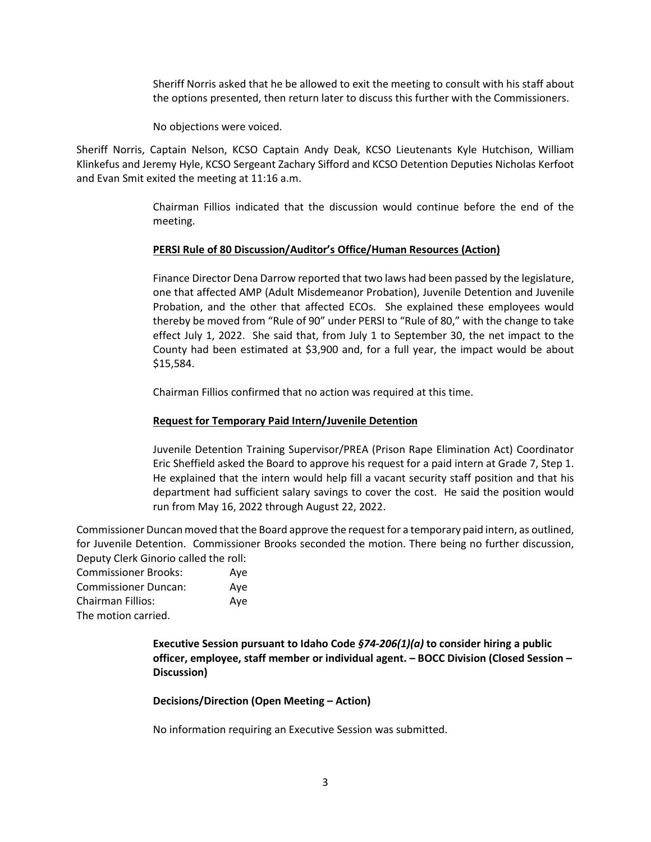Sheriff Norris asked that he be allowed to exit the meeting to consult with his staff about the options presented, then return later to discuss this further with the Commissioners.

No objections were voiced.

Sheriff Norris, Captain Nelson, KCSO Captain Andy Deak, KCSO Lieutenants Kyle Hutchison, William Klinkefus and Jeremy Hyle, KCSO Sergeant Zachary Sifford and KCSO Detention Deputies Nicholas Kerfoot and Evan Smit exited the meeting at 11:16 a.m.

> Chairman Fillios indicated that the discussion would continue before the end of the meeting.

## **PERSI Rule of 80 Discussion/Auditor's Office/Human Resources (Action)**

Finance Director Dena Darrow reported that two laws had been passed by the legislature, one that affected AMP (Adult Misdemeanor Probation), Juvenile Detention and Juvenile Probation, and the other that affected ECOs. She explained these employees would thereby be moved from "Rule of 90" under PERSI to "Rule of 80," with the change to take effect July 1, 2022. She said that, from July 1 to September 30, the net impact to the County had been estimated at \$3,900 and, for a full year, the impact would be about \$15,584.

Chairman Fillios confirmed that no action was required at this time.

## **Request for Temporary Paid Intern/Juvenile Detention**

Juvenile Detention Training Supervisor/PREA (Prison Rape Elimination Act) Coordinator Eric Sheffield asked the Board to approve his request for a paid intern at Grade 7, Step 1. He explained that the intern would help fill a vacant security staff position and that his department had sufficient salary savings to cover the cost. He said the position would run from May 16, 2022 through August 22, 2022.

Commissioner Duncan moved that the Board approve the request for a temporary paid intern, as outlined, for Juvenile Detention. Commissioner Brooks seconded the motion. There being no further discussion, Deputy Clerk Ginorio called the roll:

Commissioner Brooks: Aye Commissioner Duncan: Aye Chairman Fillios: Aye The motion carried.

> **Executive Session pursuant to Idaho Code** *§74-206(1)(a)* **to consider hiring a public officer, employee, staff member or individual agent. – BOCC Division (Closed Session – Discussion)**

**Decisions/Direction (Open Meeting – Action)**

No information requiring an Executive Session was submitted.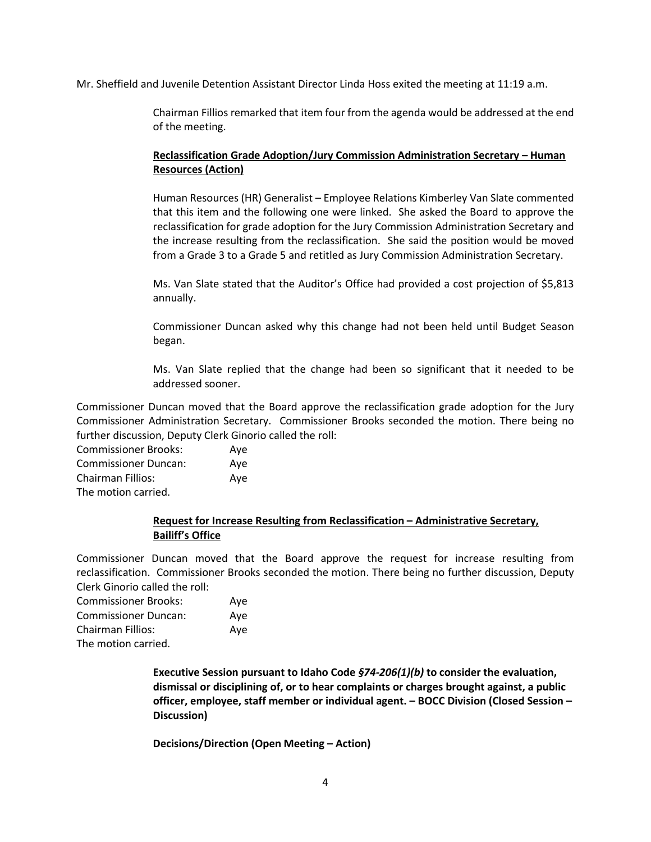Mr. Sheffield and Juvenile Detention Assistant Director Linda Hoss exited the meeting at 11:19 a.m.

Chairman Fillios remarked that item four from the agenda would be addressed at the end of the meeting.

# **Reclassification Grade Adoption/Jury Commission Administration Secretary – Human Resources (Action)**

Human Resources (HR) Generalist – Employee Relations Kimberley Van Slate commented that this item and the following one were linked. She asked the Board to approve the reclassification for grade adoption for the Jury Commission Administration Secretary and the increase resulting from the reclassification. She said the position would be moved from a Grade 3 to a Grade 5 and retitled as Jury Commission Administration Secretary.

Ms. Van Slate stated that the Auditor's Office had provided a cost projection of \$5,813 annually.

Commissioner Duncan asked why this change had not been held until Budget Season began.

Ms. Van Slate replied that the change had been so significant that it needed to be addressed sooner.

Commissioner Duncan moved that the Board approve the reclassification grade adoption for the Jury Commissioner Administration Secretary. Commissioner Brooks seconded the motion. There being no further discussion, Deputy Clerk Ginorio called the roll:

| <b>Commissioner Brooks:</b> | Ave |
|-----------------------------|-----|
| <b>Commissioner Duncan:</b> | Ave |
| Chairman Fillios:           | Ave |
| The motion carried.         |     |

# **Request for Increase Resulting from Reclassification – Administrative Secretary, Bailiff's Office**

Commissioner Duncan moved that the Board approve the request for increase resulting from reclassification. Commissioner Brooks seconded the motion. There being no further discussion, Deputy Clerk Ginorio called the roll:

| <b>Commissioner Brooks:</b> | Aye |
|-----------------------------|-----|
| <b>Commissioner Duncan:</b> | Aye |
| Chairman Fillios:           | Aye |
| The motion carried.         |     |

**Executive Session pursuant to Idaho Code** *§74-206(1)(b)* **to consider the evaluation, dismissal or disciplining of, or to hear complaints or charges brought against, a public officer, employee, staff member or individual agent. – BOCC Division (Closed Session – Discussion)**

**Decisions/Direction (Open Meeting – Action)**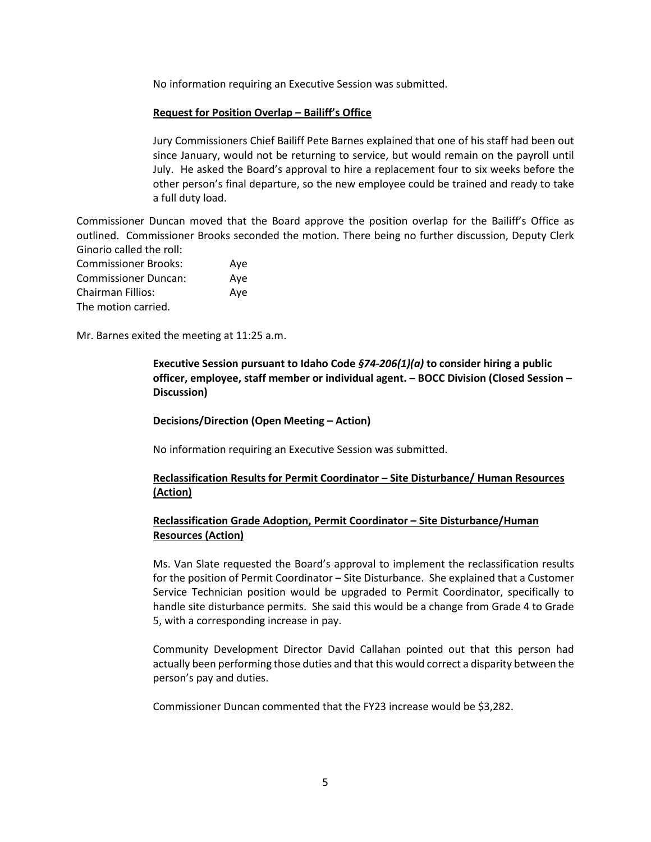No information requiring an Executive Session was submitted.

#### **Request for Position Overlap – Bailiff's Office**

Jury Commissioners Chief Bailiff Pete Barnes explained that one of his staff had been out since January, would not be returning to service, but would remain on the payroll until July. He asked the Board's approval to hire a replacement four to six weeks before the other person's final departure, so the new employee could be trained and ready to take a full duty load.

Commissioner Duncan moved that the Board approve the position overlap for the Bailiff's Office as outlined. Commissioner Brooks seconded the motion. There being no further discussion, Deputy Clerk Ginorio called the roll:

| <b>Commissioner Brooks:</b> | Aye |
|-----------------------------|-----|
| <b>Commissioner Duncan:</b> | Ave |
| <b>Chairman Fillios:</b>    | Aye |
| The motion carried.         |     |

Mr. Barnes exited the meeting at 11:25 a.m.

**Executive Session pursuant to Idaho Code** *§74-206(1)(a)* **to consider hiring a public officer, employee, staff member or individual agent. – BOCC Division (Closed Session – Discussion)**

**Decisions/Direction (Open Meeting – Action)**

No information requiring an Executive Session was submitted.

## **Reclassification Results for Permit Coordinator – Site Disturbance/ Human Resources (Action)**

# **Reclassification Grade Adoption, Permit Coordinator – Site Disturbance/Human Resources (Action)**

Ms. Van Slate requested the Board's approval to implement the reclassification results for the position of Permit Coordinator – Site Disturbance. She explained that a Customer Service Technician position would be upgraded to Permit Coordinator, specifically to handle site disturbance permits. She said this would be a change from Grade 4 to Grade 5, with a corresponding increase in pay.

Community Development Director David Callahan pointed out that this person had actually been performing those duties and that this would correct a disparity between the person's pay and duties.

Commissioner Duncan commented that the FY23 increase would be \$3,282.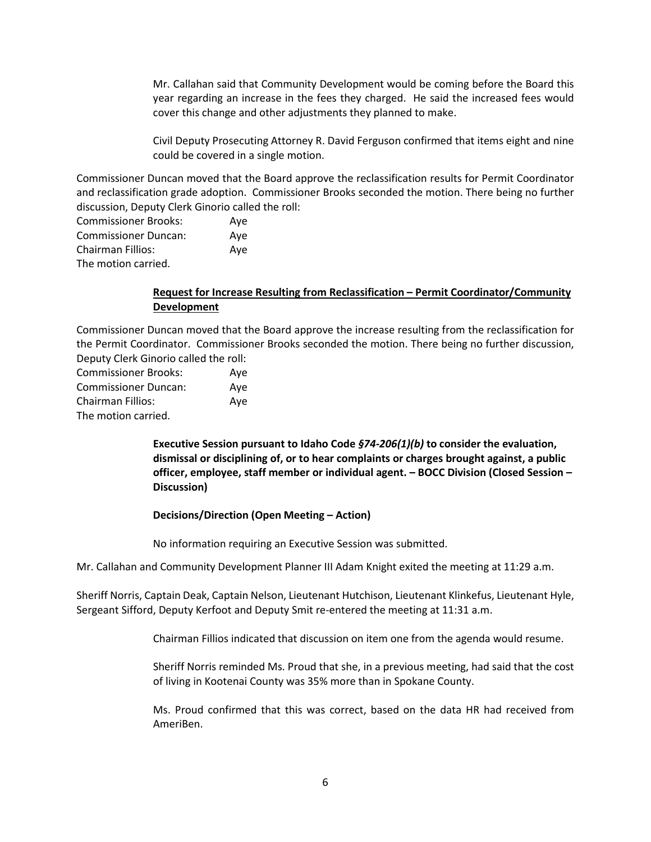Mr. Callahan said that Community Development would be coming before the Board this year regarding an increase in the fees they charged. He said the increased fees would cover this change and other adjustments they planned to make.

Civil Deputy Prosecuting Attorney R. David Ferguson confirmed that items eight and nine could be covered in a single motion.

Commissioner Duncan moved that the Board approve the reclassification results for Permit Coordinator and reclassification grade adoption. Commissioner Brooks seconded the motion. There being no further discussion, Deputy Clerk Ginorio called the roll:

Commissioner Brooks: Aye Commissioner Duncan: Aye Chairman Fillios: Aye The motion carried.

## **Request for Increase Resulting from Reclassification – Permit Coordinator/Community Development**

Commissioner Duncan moved that the Board approve the increase resulting from the reclassification for the Permit Coordinator. Commissioner Brooks seconded the motion. There being no further discussion, Deputy Clerk Ginorio called the roll:

| <b>Commissioner Brooks:</b> | Aye |
|-----------------------------|-----|
| <b>Commissioner Duncan:</b> | Aye |
| Chairman Fillios:           | Aye |
| The motion carried.         |     |

**Executive Session pursuant to Idaho Code** *§74-206(1)(b)* **to consider the evaluation, dismissal or disciplining of, or to hear complaints or charges brought against, a public officer, employee, staff member or individual agent. – BOCC Division (Closed Session – Discussion)**

## **Decisions/Direction (Open Meeting – Action)**

No information requiring an Executive Session was submitted.

Mr. Callahan and Community Development Planner III Adam Knight exited the meeting at 11:29 a.m.

Sheriff Norris, Captain Deak, Captain Nelson, Lieutenant Hutchison, Lieutenant Klinkefus, Lieutenant Hyle, Sergeant Sifford, Deputy Kerfoot and Deputy Smit re-entered the meeting at 11:31 a.m.

Chairman Fillios indicated that discussion on item one from the agenda would resume.

Sheriff Norris reminded Ms. Proud that she, in a previous meeting, had said that the cost of living in Kootenai County was 35% more than in Spokane County.

Ms. Proud confirmed that this was correct, based on the data HR had received from AmeriBen.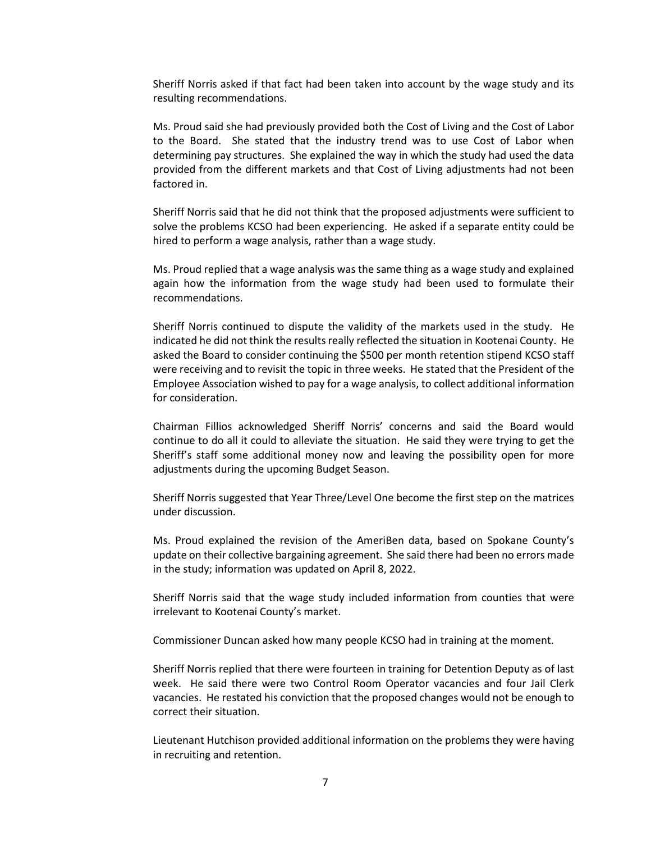Sheriff Norris asked if that fact had been taken into account by the wage study and its resulting recommendations.

Ms. Proud said she had previously provided both the Cost of Living and the Cost of Labor to the Board. She stated that the industry trend was to use Cost of Labor when determining pay structures. She explained the way in which the study had used the data provided from the different markets and that Cost of Living adjustments had not been factored in.

Sheriff Norris said that he did not think that the proposed adjustments were sufficient to solve the problems KCSO had been experiencing. He asked if a separate entity could be hired to perform a wage analysis, rather than a wage study.

Ms. Proud replied that a wage analysis was the same thing as a wage study and explained again how the information from the wage study had been used to formulate their recommendations.

Sheriff Norris continued to dispute the validity of the markets used in the study. He indicated he did not think the results really reflected the situation in Kootenai County. He asked the Board to consider continuing the \$500 per month retention stipend KCSO staff were receiving and to revisit the topic in three weeks. He stated that the President of the Employee Association wished to pay for a wage analysis, to collect additional information for consideration.

Chairman Fillios acknowledged Sheriff Norris' concerns and said the Board would continue to do all it could to alleviate the situation. He said they were trying to get the Sheriff's staff some additional money now and leaving the possibility open for more adjustments during the upcoming Budget Season.

Sheriff Norris suggested that Year Three/Level One become the first step on the matrices under discussion.

Ms. Proud explained the revision of the AmeriBen data, based on Spokane County's update on their collective bargaining agreement. She said there had been no errors made in the study; information was updated on April 8, 2022.

Sheriff Norris said that the wage study included information from counties that were irrelevant to Kootenai County's market.

Commissioner Duncan asked how many people KCSO had in training at the moment.

Sheriff Norris replied that there were fourteen in training for Detention Deputy as of last week. He said there were two Control Room Operator vacancies and four Jail Clerk vacancies. He restated his conviction that the proposed changes would not be enough to correct their situation.

Lieutenant Hutchison provided additional information on the problems they were having in recruiting and retention.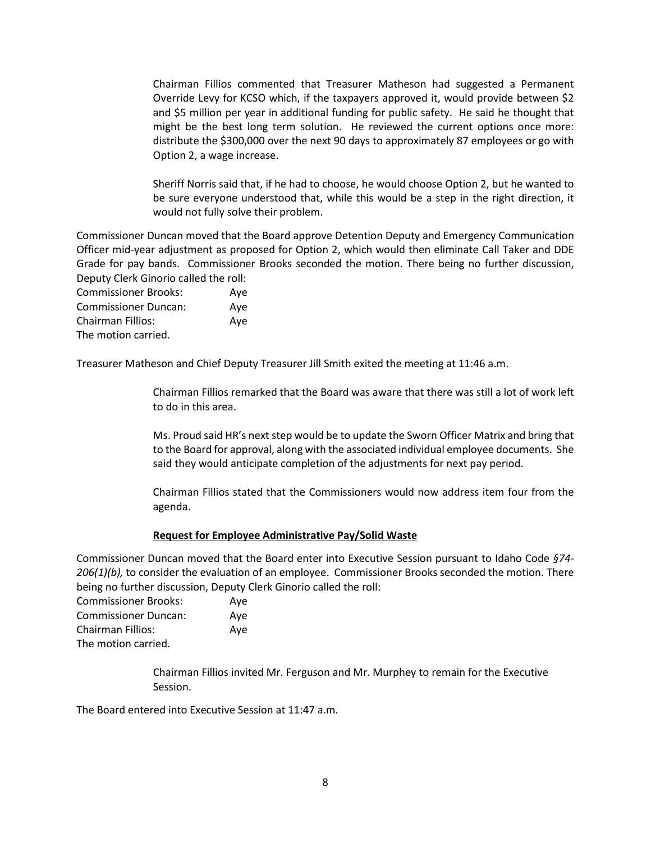Chairman Fillios commented that Treasurer Matheson had suggested a Permanent Override Levy for KCSO which, if the taxpayers approved it, would provide between \$2 and \$5 million per year in additional funding for public safety. He said he thought that might be the best long term solution. He reviewed the current options once more: distribute the \$300,000 over the next 90 days to approximately 87 employees or go with Option 2, a wage increase.

Sheriff Norris said that, if he had to choose, he would choose Option 2, but he wanted to be sure everyone understood that, while this would be a step in the right direction, it would not fully solve their problem.

Commissioner Duncan moved that the Board approve Detention Deputy and Emergency Communication Officer mid-year adjustment as proposed for Option 2, which would then eliminate Call Taker and DDE Grade for pay bands. Commissioner Brooks seconded the motion. There being no further discussion, Deputy Clerk Ginorio called the roll:

Commissioner Brooks: Aye Commissioner Duncan: Aye Chairman Fillios: Aye The motion carried.

Treasurer Matheson and Chief Deputy Treasurer Jill Smith exited the meeting at 11:46 a.m.

Chairman Fillios remarked that the Board was aware that there was still a lot of work left to do in this area.

Ms. Proud said HR's next step would be to update the Sworn Officer Matrix and bring that to the Board for approval, along with the associated individual employee documents. She said they would anticipate completion of the adjustments for next pay period.

Chairman Fillios stated that the Commissioners would now address item four from the agenda.

#### **Request for Employee Administrative Pay/Solid Waste**

Commissioner Duncan moved that the Board enter into Executive Session pursuant to Idaho Code *§74- 206(1)(b),* to consider the evaluation of an employee. Commissioner Brooks seconded the motion. There being no further discussion, Deputy Clerk Ginorio called the roll:

Commissioner Brooks: Aye Commissioner Duncan: Aye Chairman Fillios: Aye The motion carried.

> Chairman Fillios invited Mr. Ferguson and Mr. Murphey to remain for the Executive Session.

The Board entered into Executive Session at 11:47 a.m.